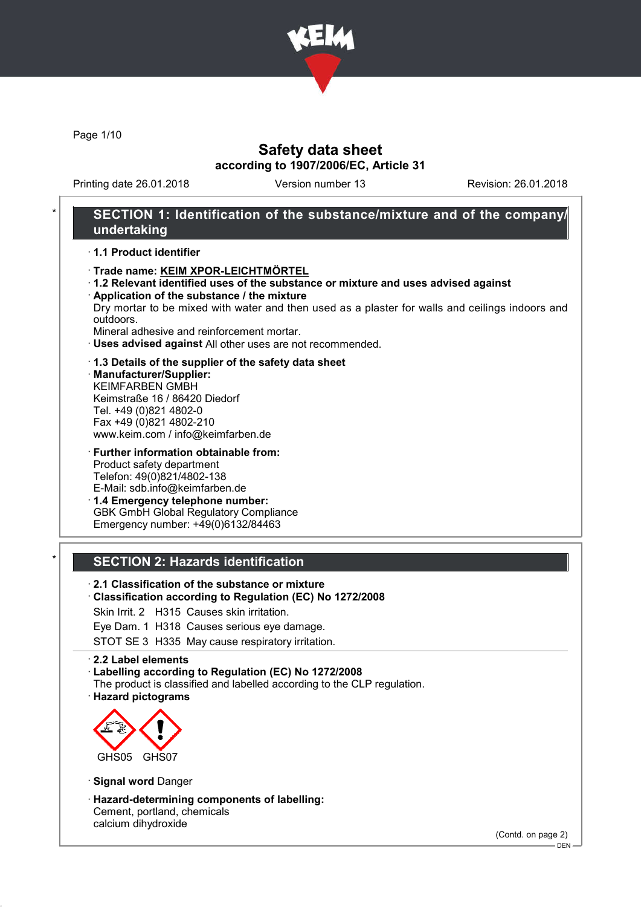

Page 1/10

### Safety data sheet according to 1907/2006/EC, Article 31

Printing date 26.01.2018 Version number 13 Revision: 26.01.2018

### SECTION 1: Identification of the substance/mixture and of the company/ undertaking

· 1.1 Product identifier

- · Trade name: KEIM XPOR-LEICHTMÖRTEL
- · 1.2 Relevant identified uses of the substance or mixture and uses advised against
- · Application of the substance / the mixture Dry mortar to be mixed with water and then used as a plaster for walls and ceilings indoors and outdoors.

Mineral adhesive and reinforcement mortar.

- · Uses advised against All other uses are not recommended.
- · 1.3 Details of the supplier of the safety data sheet
- · Manufacturer/Supplier: KEIMFARBEN GMBH Keimstraße 16 / 86420 Diedorf Tel. +49 (0)821 4802-0 Fax +49 (0)821 4802-210 www.keim.com / info@keimfarben.de
- · Further information obtainable from: Product safety department Telefon: 49(0)821/4802-138 E-Mail: sdb.info@keimfarben.de · 1.4 Emergency telephone number: GBK GmbH Global Regulatory Compliance

Emergency number: +49(0)6132/84463

### **SECTION 2: Hazards identification**

· 2.1 Classification of the substance or mixture

- · Classification according to Regulation (EC) No 1272/2008
- Skin Irrit. 2 H315 Causes skin irritation.
- Eye Dam. 1 H318 Causes serious eye damage.

STOT SE 3 H335 May cause respiratory irritation.

· 2.2 Label elements

- · Labelling according to Regulation (EC) No 1272/2008
- The product is classified and labelled according to the CLP regulation.
- · Hazard pictograms



· Signal word Danger

· Hazard-determining components of labelling: Cement, portland, chemicals calcium dihydroxide

(Contd. on page 2)

DEN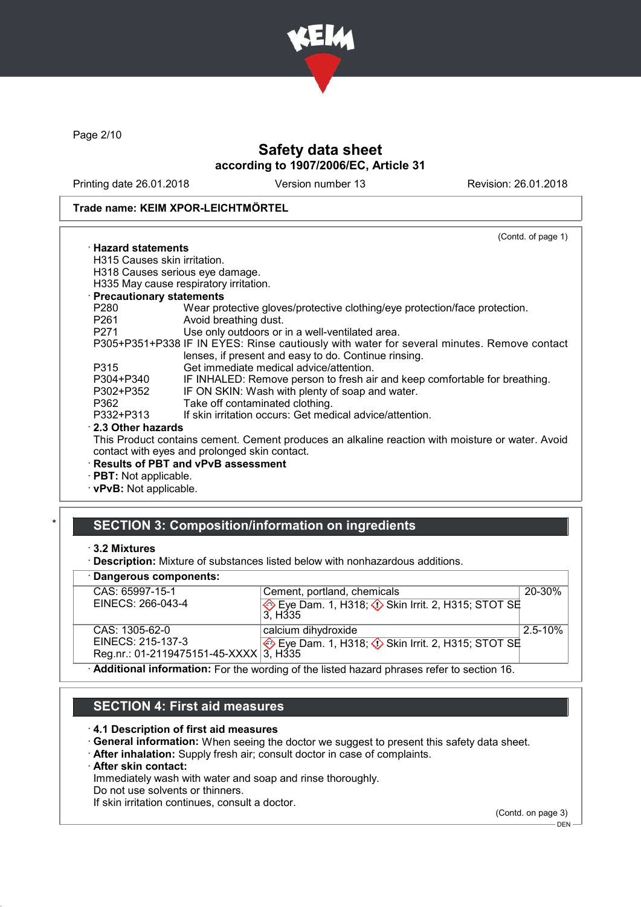

Page 2/10

### Safety data sheet according to 1907/2006/EC, Article 31

Printing date 26.01.2018 Version number 13 Revision: 26.01.2018

#### Trade name: KEIM XPOR-LEICHTMÖRTEL

|                               | (Contd. of page 1)                                                                               |
|-------------------------------|--------------------------------------------------------------------------------------------------|
| $\cdot$ Hazard statements     |                                                                                                  |
| H315 Causes skin irritation.  |                                                                                                  |
|                               | H318 Causes serious eye damage.                                                                  |
|                               | H335 May cause respiratory irritation.                                                           |
| · Precautionary statements    |                                                                                                  |
| P280                          | Wear protective gloves/protective clothing/eye protection/face protection.                       |
| P261                          | Avoid breathing dust.                                                                            |
| P271 20                       | Use only outdoors or in a well-ventilated area.                                                  |
|                               | P305+P351+P338 IF IN EYES: Rinse cautiously with water for several minutes. Remove contact       |
|                               | lenses, if present and easy to do. Continue rinsing.                                             |
| P315                          | Get immediate medical advice/attention.                                                          |
| P304+P340                     | IF INHALED: Remove person to fresh air and keep comfortable for breathing.                       |
| P302+P352                     | IF ON SKIN: Wash with plenty of soap and water.                                                  |
| P362                          | Take off contaminated clothing.                                                                  |
| P332+P313                     | If skin irritation occurs: Get medical advice/attention.                                         |
| 2.3 Other hazards             |                                                                                                  |
|                               | This Product contains cement. Cement produces an alkaline reaction with moisture or water. Avoid |
|                               | contact with eyes and prolonged skin contact.                                                    |
|                               | · Results of PBT and vPvB assessment                                                             |
| · <b>PBT:</b> Not applicable. |                                                                                                  |
| · vPvB: Not applicable.       |                                                                                                  |
|                               |                                                                                                  |

# SECTION 3: Composition/information on ingredients

#### · Dangerous components:

| <b>Dangerous components.</b>                                                              |                                                                                  |             |  |
|-------------------------------------------------------------------------------------------|----------------------------------------------------------------------------------|-------------|--|
| CAS: 65997-15-1                                                                           | Cement, portland, chemicals                                                      | 20-30%      |  |
| EINECS: 266-043-4                                                                         | Eye Dam. 1, H318; $\Diamond$ Skin Irrit. 2, H315; STOT SE<br>3. H <sub>335</sub> |             |  |
| CAS: 1305-62-0                                                                            | calcium dihydroxide                                                              | $2.5 - 10%$ |  |
| EINECS: 215-137-3                                                                         | Eye Dam. 1, H318; $\Diamond$ Skin Irrit. 2, H315; STOT SE                        |             |  |
| Reg.nr.: 01-2119475151-45-XXXX 3, H335                                                    |                                                                                  |             |  |
| Additional information: For the wording of the listed hazard phrases refer to section 16. |                                                                                  |             |  |

# SECTION 4: First aid measures

#### · 4.1 Description of first aid measures

- · General information: When seeing the doctor we suggest to present this safety data sheet.
- · After inhalation: Supply fresh air; consult doctor in case of complaints.
- · After skin contact:

Immediately wash with water and soap and rinse thoroughly.

Do not use solvents or thinners.

If skin irritation continues, consult a doctor.

(Contd. on page 3)  $-$  DEN  $-$ 

<sup>·</sup> 3.2 Mixtures

<sup>·</sup> Description: Mixture of substances listed below with nonhazardous additions.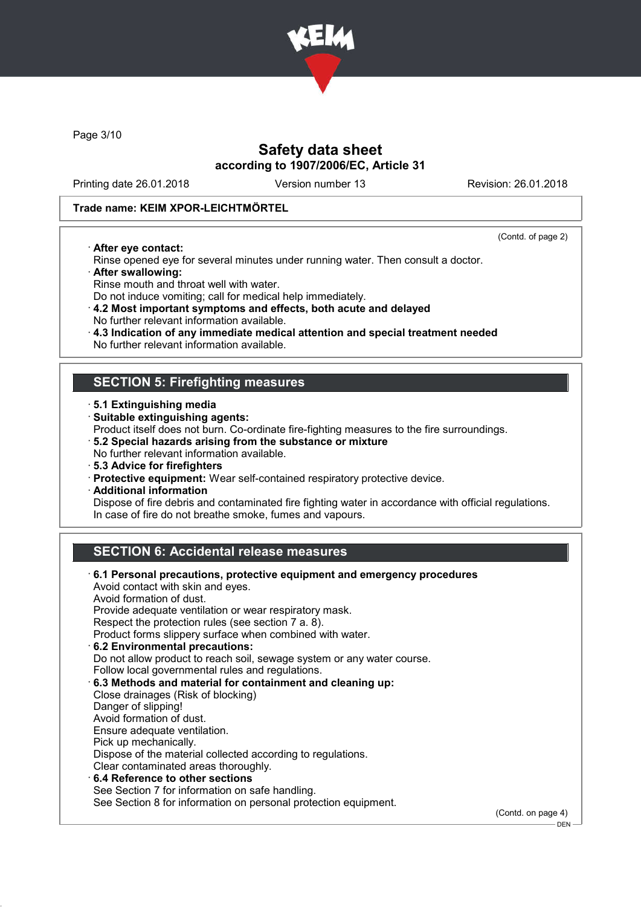

Page 3/10

### Safety data sheet according to 1907/2006/EC, Article 31

Printing date 26.01.2018 Version number 13 Revision: 26.01.2018

(Contd. of page 2)

 $-$  DEN -

#### Trade name: KEIM XPOR-LEICHTMÖRTEL

· After eye contact:

- Rinse opened eye for several minutes under running water. Then consult a doctor. · After swallowing:
- Rinse mouth and throat well with water.
- Do not induce vomiting; call for medical help immediately.
- · 4.2 Most important symptoms and effects, both acute and delayed No further relevant information available.
- · 4.3 Indication of any immediate medical attention and special treatment needed
- No further relevant information available.

#### SECTION 5: Firefighting measures

- · 5.1 Extinguishing media
- · Suitable extinguishing agents:
- Product itself does not burn. Co-ordinate fire-fighting measures to the fire surroundings.
- · 5.2 Special hazards arising from the substance or mixture
- No further relevant information available.
- · 5.3 Advice for firefighters
- · Protective equipment: Wear self-contained respiratory protective device.
- · Additional information

Dispose of fire debris and contaminated fire fighting water in accordance with official regulations. In case of fire do not breathe smoke, fumes and vapours.

### SECTION 6: Accidental release measures

| 6.1 Personal precautions, protective equipment and emergency procedures<br>Avoid contact with skin and eyes. |                    |
|--------------------------------------------------------------------------------------------------------------|--------------------|
| Avoid formation of dust.                                                                                     |                    |
|                                                                                                              |                    |
| Provide adequate ventilation or wear respiratory mask.                                                       |                    |
| Respect the protection rules (see section 7 a. 8).                                                           |                    |
| Product forms slippery surface when combined with water.                                                     |                    |
| 6.2 Environmental precautions:                                                                               |                    |
| Do not allow product to reach soil, sewage system or any water course.                                       |                    |
| Follow local governmental rules and regulations.                                                             |                    |
| 6.3 Methods and material for containment and cleaning up:                                                    |                    |
| Close drainages (Risk of blocking)                                                                           |                    |
| Danger of slipping!                                                                                          |                    |
| Avoid formation of dust.                                                                                     |                    |
| Ensure adequate ventilation.                                                                                 |                    |
| Pick up mechanically.                                                                                        |                    |
| Dispose of the material collected according to regulations.                                                  |                    |
| Clear contaminated areas thoroughly.                                                                         |                    |
| $\cdot$ 6.4 Reference to other sections                                                                      |                    |
| See Section 7 for information on safe handling.                                                              |                    |
|                                                                                                              |                    |
| See Section 8 for information on personal protection equipment.                                              |                    |
|                                                                                                              | (Contd. on page 4) |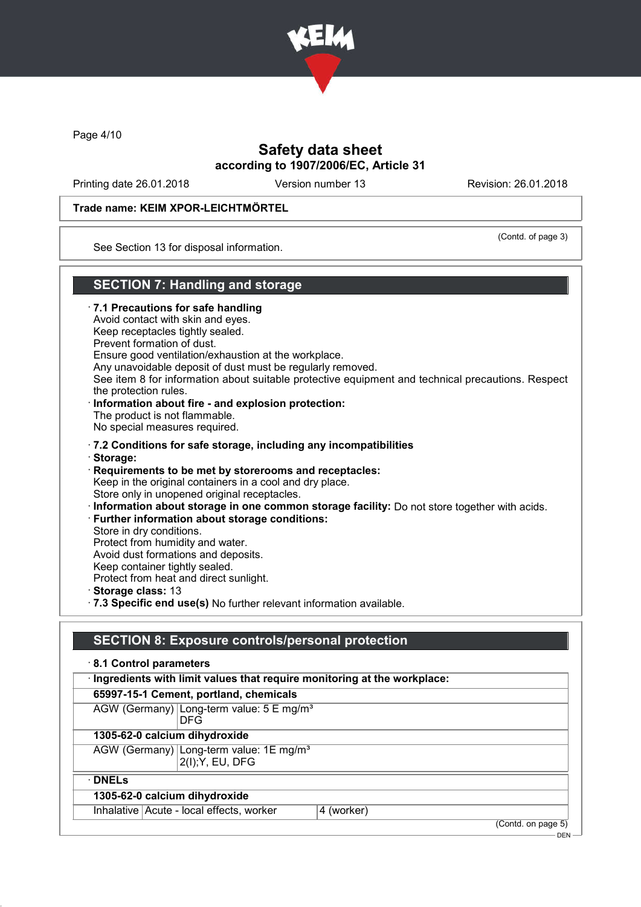

Page 4/10

### Safety data sheet according to 1907/2006/EC, Article 31

Printing date 26.01.2018 Version number 13 Revision: 26.01.2018

#### Trade name: KEIM XPOR-LEICHTMÖRTEL

(Contd. of page 3)

See Section 13 for disposal information.

### SECTION 7: Handling and storage

· 7.1 Precautions for safe handling Avoid contact with skin and eyes. Keep receptacles tightly sealed. Prevent formation of dust. Ensure good ventilation/exhaustion at the workplace. Any unavoidable deposit of dust must be regularly removed. See item 8 for information about suitable protective equipment and technical precautions. Respect the protection rules. · Information about fire - and explosion protection: The product is not flammable. No special measures required. · 7.2 Conditions for safe storage, including any incompatibilities · Storage: · Requirements to be met by storerooms and receptacles: Keep in the original containers in a cool and dry place. Store only in unopened original receptacles. · Information about storage in one common storage facility: Do not store together with acids. · Further information about storage conditions: Store in dry conditions. Protect from humidity and water. Avoid dust formations and deposits. Keep container tightly sealed. Protect from heat and direct sunlight. · Storage class: 13 · 7.3 Specific end use(s) No further relevant information available.

### SECTION 8: Exposure controls/personal protection

| · Ingredients with limit values that require monitoring at the workplace: |                                                                                                             |
|---------------------------------------------------------------------------|-------------------------------------------------------------------------------------------------------------|
|                                                                           |                                                                                                             |
|                                                                           |                                                                                                             |
|                                                                           |                                                                                                             |
|                                                                           |                                                                                                             |
|                                                                           |                                                                                                             |
|                                                                           |                                                                                                             |
| 4 (worker)                                                                |                                                                                                             |
| 65997-15-1 Cement, portland, chemicals                                    | AGW (Germany) Long-term value: 5 E mg/m <sup>3</sup><br>AGW (Germany) Long-term value: 1E mg/m <sup>3</sup> |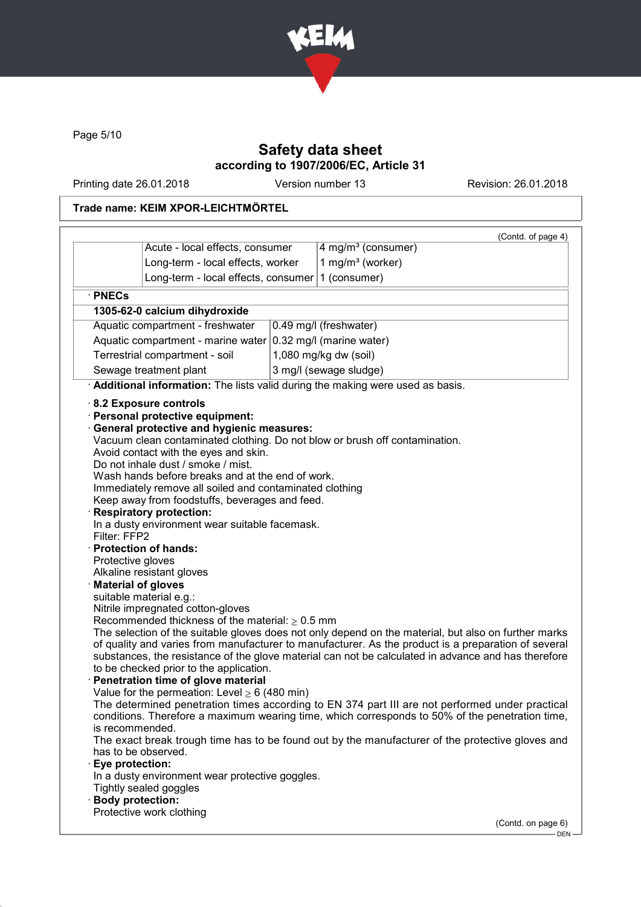

Page 5/10

### Safety data sheet according to 1907/2006/EC, Article 31

Printing date 26.01.2018 Version number 13 Revision: 26.01.2018

### Trade name: KEIM XPOR-LEICHTMÖRTEL

| Acute - local effects, consumer                                                                                                                                                                                                                                                                                                                                                                                                                                                                                                                                                                                                                                                                                                                                                                                                                                                                                                                                                                                                                                                                                                                                                                                                                                                                                                                                                                                                                                                                                                                                                                                                                                                                                                                                                                                                                                                                                                                                                                      |  |  |
|------------------------------------------------------------------------------------------------------------------------------------------------------------------------------------------------------------------------------------------------------------------------------------------------------------------------------------------------------------------------------------------------------------------------------------------------------------------------------------------------------------------------------------------------------------------------------------------------------------------------------------------------------------------------------------------------------------------------------------------------------------------------------------------------------------------------------------------------------------------------------------------------------------------------------------------------------------------------------------------------------------------------------------------------------------------------------------------------------------------------------------------------------------------------------------------------------------------------------------------------------------------------------------------------------------------------------------------------------------------------------------------------------------------------------------------------------------------------------------------------------------------------------------------------------------------------------------------------------------------------------------------------------------------------------------------------------------------------------------------------------------------------------------------------------------------------------------------------------------------------------------------------------------------------------------------------------------------------------------------------------|--|--|
|                                                                                                                                                                                                                                                                                                                                                                                                                                                                                                                                                                                                                                                                                                                                                                                                                                                                                                                                                                                                                                                                                                                                                                                                                                                                                                                                                                                                                                                                                                                                                                                                                                                                                                                                                                                                                                                                                                                                                                                                      |  |  |
| Long-term - local effects, worker                                                                                                                                                                                                                                                                                                                                                                                                                                                                                                                                                                                                                                                                                                                                                                                                                                                                                                                                                                                                                                                                                                                                                                                                                                                                                                                                                                                                                                                                                                                                                                                                                                                                                                                                                                                                                                                                                                                                                                    |  |  |
| Long-term - local effects, consumer                                                                                                                                                                                                                                                                                                                                                                                                                                                                                                                                                                                                                                                                                                                                                                                                                                                                                                                                                                                                                                                                                                                                                                                                                                                                                                                                                                                                                                                                                                                                                                                                                                                                                                                                                                                                                                                                                                                                                                  |  |  |
| · PNECs                                                                                                                                                                                                                                                                                                                                                                                                                                                                                                                                                                                                                                                                                                                                                                                                                                                                                                                                                                                                                                                                                                                                                                                                                                                                                                                                                                                                                                                                                                                                                                                                                                                                                                                                                                                                                                                                                                                                                                                              |  |  |
| 1305-62-0 calcium dihydroxide                                                                                                                                                                                                                                                                                                                                                                                                                                                                                                                                                                                                                                                                                                                                                                                                                                                                                                                                                                                                                                                                                                                                                                                                                                                                                                                                                                                                                                                                                                                                                                                                                                                                                                                                                                                                                                                                                                                                                                        |  |  |
| Aquatic compartment - freshwater<br>0.49 mg/l (freshwater)                                                                                                                                                                                                                                                                                                                                                                                                                                                                                                                                                                                                                                                                                                                                                                                                                                                                                                                                                                                                                                                                                                                                                                                                                                                                                                                                                                                                                                                                                                                                                                                                                                                                                                                                                                                                                                                                                                                                           |  |  |
| Aquatic compartment - marine water<br>0.32 mg/l (marine water)                                                                                                                                                                                                                                                                                                                                                                                                                                                                                                                                                                                                                                                                                                                                                                                                                                                                                                                                                                                                                                                                                                                                                                                                                                                                                                                                                                                                                                                                                                                                                                                                                                                                                                                                                                                                                                                                                                                                       |  |  |
|                                                                                                                                                                                                                                                                                                                                                                                                                                                                                                                                                                                                                                                                                                                                                                                                                                                                                                                                                                                                                                                                                                                                                                                                                                                                                                                                                                                                                                                                                                                                                                                                                                                                                                                                                                                                                                                                                                                                                                                                      |  |  |
|                                                                                                                                                                                                                                                                                                                                                                                                                                                                                                                                                                                                                                                                                                                                                                                                                                                                                                                                                                                                                                                                                                                                                                                                                                                                                                                                                                                                                                                                                                                                                                                                                                                                                                                                                                                                                                                                                                                                                                                                      |  |  |
|                                                                                                                                                                                                                                                                                                                                                                                                                                                                                                                                                                                                                                                                                                                                                                                                                                                                                                                                                                                                                                                                                                                                                                                                                                                                                                                                                                                                                                                                                                                                                                                                                                                                                                                                                                                                                                                                                                                                                                                                      |  |  |
| Terrestrial compartment - soil<br>1,080 mg/kg dw (soil)<br>Sewage treatment plant<br>3 mg/l (sewage sludge)<br>Additional information: The lists valid during the making were used as basis.<br>8.2 Exposure controls<br><b>Personal protective equipment:</b><br><b>General protective and hygienic measures:</b><br>Vacuum clean contaminated clothing. Do not blow or brush off contamination.<br>Avoid contact with the eyes and skin.<br>Do not inhale dust / smoke / mist.<br>Wash hands before breaks and at the end of work.<br>Immediately remove all soiled and contaminated clothing<br>Keep away from foodstuffs, beverages and feed.<br><b>Respiratory protection:</b><br>In a dusty environment wear suitable facemask.<br>Filter: FFP2<br><b>Protection of hands:</b><br>Protective gloves<br>Alkaline resistant gloves<br><b>Material of gloves</b><br>suitable material e.g.:<br>Nitrile impregnated cotton-gloves<br>Recommended thickness of the material: $\geq 0.5$ mm<br>The selection of the suitable gloves does not only depend on the material, but also on further marks<br>of quality and varies from manufacturer to manufacturer. As the product is a preparation of several<br>substances, the resistance of the glove material can not be calculated in advance and has therefore<br>to be checked prior to the application.<br>Penetration time of glove material<br>Value for the permeation: Level $\geq 6$ (480 min)<br>The determined penetration times according to EN 374 part III are not performed under practical<br>conditions. Therefore a maximum wearing time, which corresponds to 50% of the penetration time,<br>is recommended.<br>The exact break trough time has to be found out by the manufacturer of the protective gloves and<br>has to be observed.<br>Eye protection:<br>In a dusty environment wear protective goggles.<br>Tightly sealed goggles<br><b>Body protection:</b><br>Protective work clothing<br>(Contd. on page 6)<br>$DEN$ — |  |  |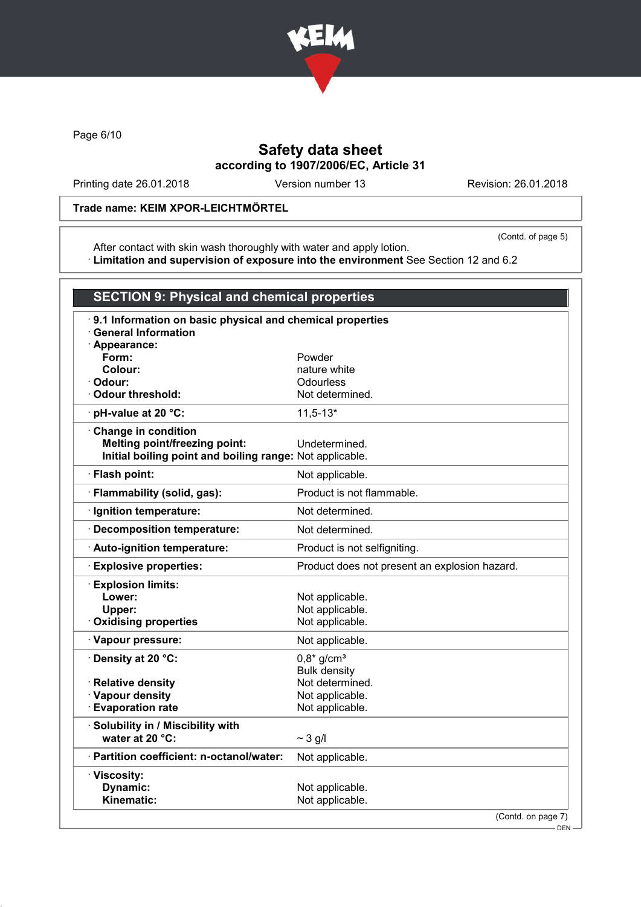

Page 6/10

### Safety data sheet according to 1907/2006/EC, Article 31

Printing date 26.01.2018 Version number 13 Revision: 26.01.2018

### Trade name: KEIM XPOR-LEICHTMÖRTEL

(Contd. of page 5)

After contact with skin wash thoroughly with water and apply lotion. · Limitation and supervision of exposure into the environment See Section 12 and 6.2

| <b>SECTION 9: Physical and chemical properties</b>       |                                                           |  |
|----------------------------------------------------------|-----------------------------------------------------------|--|
| <b>General Information</b><br>· Appearance:              | 9.1 Information on basic physical and chemical properties |  |
| Form:                                                    | Powder                                                    |  |
| Colour:                                                  | nature white                                              |  |
| Odour:                                                   | Odourless                                                 |  |
| <b>Odour threshold:</b>                                  | Not determined.                                           |  |
| · pH-value at 20 °C:                                     | $11,5-13*$                                                |  |
| Change in condition                                      |                                                           |  |
| <b>Melting point/freezing point:</b>                     | Undetermined.                                             |  |
| Initial boiling point and boiling range: Not applicable. |                                                           |  |
| · Flash point:                                           | Not applicable.                                           |  |
| · Flammability (solid, gas):                             | Product is not flammable.                                 |  |
| · Ignition temperature:                                  | Not determined.                                           |  |
| · Decomposition temperature:                             | Not determined.                                           |  |
| · Auto-ignition temperature:                             | Product is not selfigniting.                              |  |
| · Explosive properties:                                  | Product does not present an explosion hazard.             |  |
| <b>Explosion limits:</b>                                 |                                                           |  |
| Lower:                                                   | Not applicable.                                           |  |
| Upper:                                                   | Not applicable.                                           |  |
| <b>Oxidising properties</b>                              | Not applicable.                                           |  |
| · Vapour pressure:                                       | Not applicable.                                           |  |
| · Density at 20 °C:                                      | $0,8*$ g/cm <sup>3</sup>                                  |  |
|                                                          | <b>Bulk density</b>                                       |  |
| · Relative density                                       | Not determined.                                           |  |
| · Vapour density                                         | Not applicable.                                           |  |
| <b>Evaporation rate</b>                                  | Not applicable.                                           |  |
| · Solubility in / Miscibility with                       |                                                           |  |
| water at 20 °C:                                          | $\sim$ 3 g/l                                              |  |
| · Partition coefficient: n-octanol/water:                | Not applicable.                                           |  |
| · Viscosity:                                             |                                                           |  |
| Dynamic:                                                 | Not applicable.                                           |  |
| Kinematic:                                               | Not applicable.                                           |  |
|                                                          | (Contd. on page 7)<br>$-$ DEN $-$                         |  |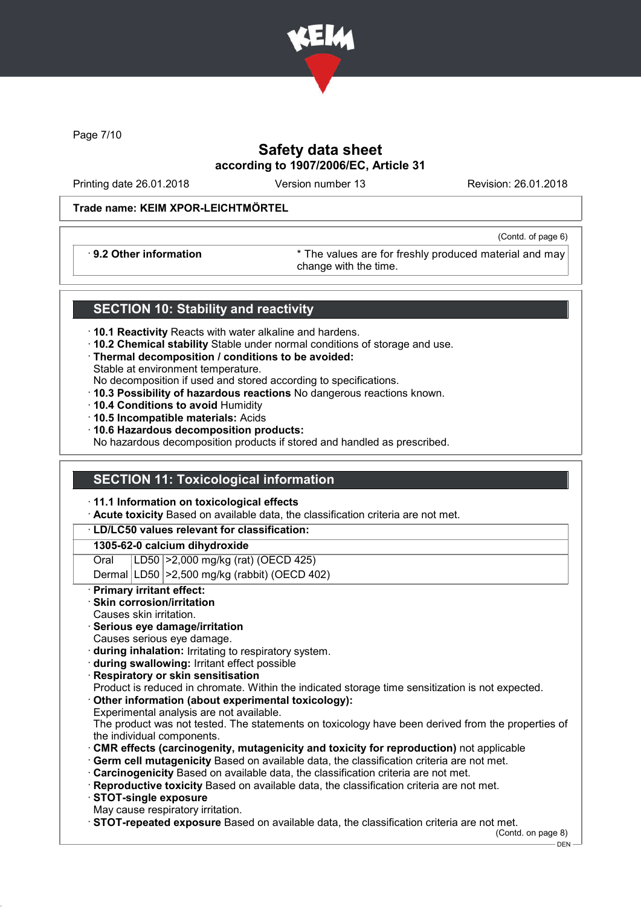

Page 7/10

## Safety data sheet according to 1907/2006/EC, Article 31

Printing date 26.01.2018 Version number 13 Revision: 26.01.2018

(Contd. of page 6)

#### Trade name: KEIM XPOR-LEICHTMÖRTEL

· 9.2 Other information \* The values are for freshly produced material and may change with the time.

#### SECTION 10: Stability and reactivity

- · 10.1 Reactivity Reacts with water alkaline and hardens.
- · 10.2 Chemical stability Stable under normal conditions of storage and use.
- · Thermal decomposition / conditions to be avoided: Stable at environment temperature.
- No decomposition if used and stored according to specifications.
- · 10.3 Possibility of hazardous reactions No dangerous reactions known.
- · 10.4 Conditions to avoid Humidity
- · 10.5 Incompatible materials: Acids
- · 10.6 Hazardous decomposition products:

No hazardous decomposition products if stored and handled as prescribed.

### SECTION 11: Toxicological information

#### · 11.1 Information on toxicological effects

· Acute toxicity Based on available data, the classification criteria are not met.

#### · LD/LC50 values relevant for classification:

#### 1305-62-0 calcium dihydroxide

Oral LD50 >2,000 mg/kg (rat) (OECD 425)

Dermal LD50 >2,500 mg/kg (rabbit) (OECD 402)

#### **Primary irritant effect:**

- Skin corrosion/irritation
- Causes skin irritation.
- Serious eye damage/irritation
- Causes serious eye damage.
- · during inhalation: Irritating to respiratory system.
- · during swallowing: Irritant effect possible
- · Respiratory or skin sensitisation

Product is reduced in chromate. Within the indicated storage time sensitization is not expected.

Other information (about experimental toxicology): Experimental analysis are not available.

The product was not tested. The statements on toxicology have been derived from the properties of the individual components.

- · CMR effects (carcinogenity, mutagenicity and toxicity for reproduction) not applicable
- · Germ cell mutagenicity Based on available data, the classification criteria are not met.
- · Carcinogenicity Based on available data, the classification criteria are not met.
- · Reproductive toxicity Based on available data, the classification criteria are not met.
- · STOT-single exposure
- May cause respiratory irritation.
- · STOT-repeated exposure Based on available data, the classification criteria are not met.

(Contd. on page 8)

DEN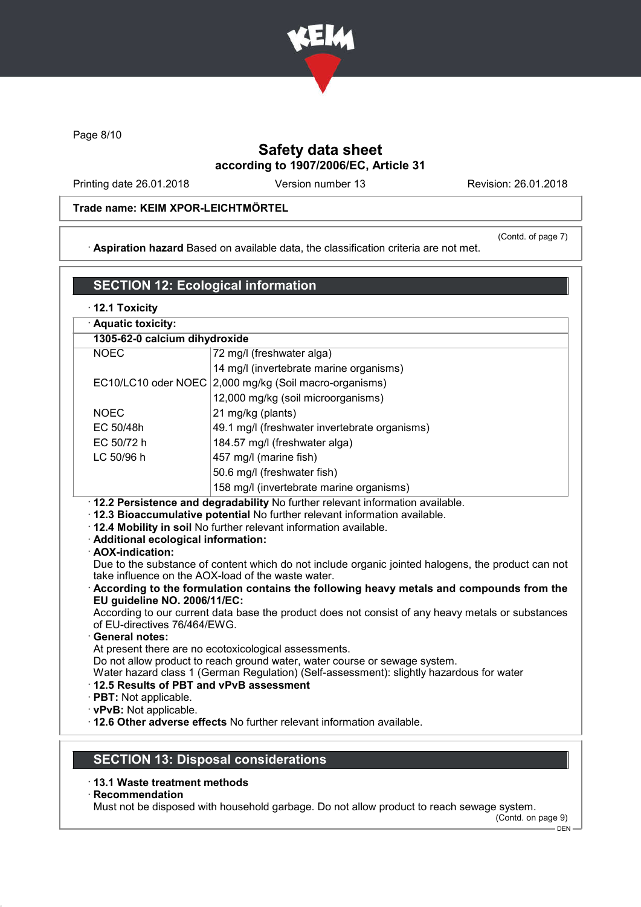

Page 8/10

# Safety data sheet according to 1907/2006/EC, Article 31

Printing date 26.01.2018 Version number 13 Revision: 26.01.2018

#### Trade name: KEIM XPOR-LEICHTMÖRTEL

· Aspiration hazard Based on available data, the classification criteria are not met.

(Contd. of page 7)

# SECTION 12: Ecological information

| $\cdot$ 12.1 Toxicity                                                                                                                                                                                                                                                                                                                                                                                                                                                                                                                                                                                                                                                                                                                                                                                                                                                                                                                                                                              |                                               |  |  |
|----------------------------------------------------------------------------------------------------------------------------------------------------------------------------------------------------------------------------------------------------------------------------------------------------------------------------------------------------------------------------------------------------------------------------------------------------------------------------------------------------------------------------------------------------------------------------------------------------------------------------------------------------------------------------------------------------------------------------------------------------------------------------------------------------------------------------------------------------------------------------------------------------------------------------------------------------------------------------------------------------|-----------------------------------------------|--|--|
| · Aquatic toxicity:                                                                                                                                                                                                                                                                                                                                                                                                                                                                                                                                                                                                                                                                                                                                                                                                                                                                                                                                                                                |                                               |  |  |
|                                                                                                                                                                                                                                                                                                                                                                                                                                                                                                                                                                                                                                                                                                                                                                                                                                                                                                                                                                                                    | 1305-62-0 calcium dihydroxide                 |  |  |
| <b>NOEC</b>                                                                                                                                                                                                                                                                                                                                                                                                                                                                                                                                                                                                                                                                                                                                                                                                                                                                                                                                                                                        | 72 mg/l (freshwater alga)                     |  |  |
|                                                                                                                                                                                                                                                                                                                                                                                                                                                                                                                                                                                                                                                                                                                                                                                                                                                                                                                                                                                                    | 14 mg/l (invertebrate marine organisms)       |  |  |
| EC10/LC10 oder NOEC                                                                                                                                                                                                                                                                                                                                                                                                                                                                                                                                                                                                                                                                                                                                                                                                                                                                                                                                                                                | 2,000 mg/kg (Soil macro-organisms)            |  |  |
|                                                                                                                                                                                                                                                                                                                                                                                                                                                                                                                                                                                                                                                                                                                                                                                                                                                                                                                                                                                                    | 12,000 mg/kg (soil microorganisms)            |  |  |
| <b>NOEC</b>                                                                                                                                                                                                                                                                                                                                                                                                                                                                                                                                                                                                                                                                                                                                                                                                                                                                                                                                                                                        | 21 mg/kg (plants)                             |  |  |
| EC 50/48h                                                                                                                                                                                                                                                                                                                                                                                                                                                                                                                                                                                                                                                                                                                                                                                                                                                                                                                                                                                          | 49.1 mg/l (freshwater invertebrate organisms) |  |  |
| EC 50/72 h                                                                                                                                                                                                                                                                                                                                                                                                                                                                                                                                                                                                                                                                                                                                                                                                                                                                                                                                                                                         | 184.57 mg/l (freshwater alga)                 |  |  |
| LC 50/96 h                                                                                                                                                                                                                                                                                                                                                                                                                                                                                                                                                                                                                                                                                                                                                                                                                                                                                                                                                                                         | 457 mg/l (marine fish)                        |  |  |
|                                                                                                                                                                                                                                                                                                                                                                                                                                                                                                                                                                                                                                                                                                                                                                                                                                                                                                                                                                                                    | 50.6 mg/l (freshwater fish)                   |  |  |
|                                                                                                                                                                                                                                                                                                                                                                                                                                                                                                                                                                                                                                                                                                                                                                                                                                                                                                                                                                                                    | 158 mg/l (invertebrate marine organisms)      |  |  |
| . 12.4 Mobility in soil No further relevant information available.<br>· Additional ecological information:<br>· AOX-indication:<br>Due to the substance of content which do not include organic jointed halogens, the product can not<br>take influence on the AOX-load of the waste water.<br>According to the formulation contains the following heavy metals and compounds from the<br>EU guideline NO. 2006/11/EC:<br>According to our current data base the product does not consist of any heavy metals or substances<br>of EU-directives 76/464/EWG.<br><b>General notes:</b><br>At present there are no ecotoxicological assessments.<br>Do not allow product to reach ground water, water course or sewage system.<br>Water hazard class 1 (German Regulation) (Self-assessment): slightly hazardous for water<br>12.5 Results of PBT and vPvB assessment<br>· PBT: Not applicable.<br>· vPvB: Not applicable.<br>. 12.6 Other adverse effects No further relevant information available. |                                               |  |  |
|                                                                                                                                                                                                                                                                                                                                                                                                                                                                                                                                                                                                                                                                                                                                                                                                                                                                                                                                                                                                    | <b>SECTION 13: Disposal considerations</b>    |  |  |

- · 13.1 Waste treatment methods
- · Recommendation

Must not be disposed with household garbage. Do not allow product to reach sewage system.

(Contd. on page 9)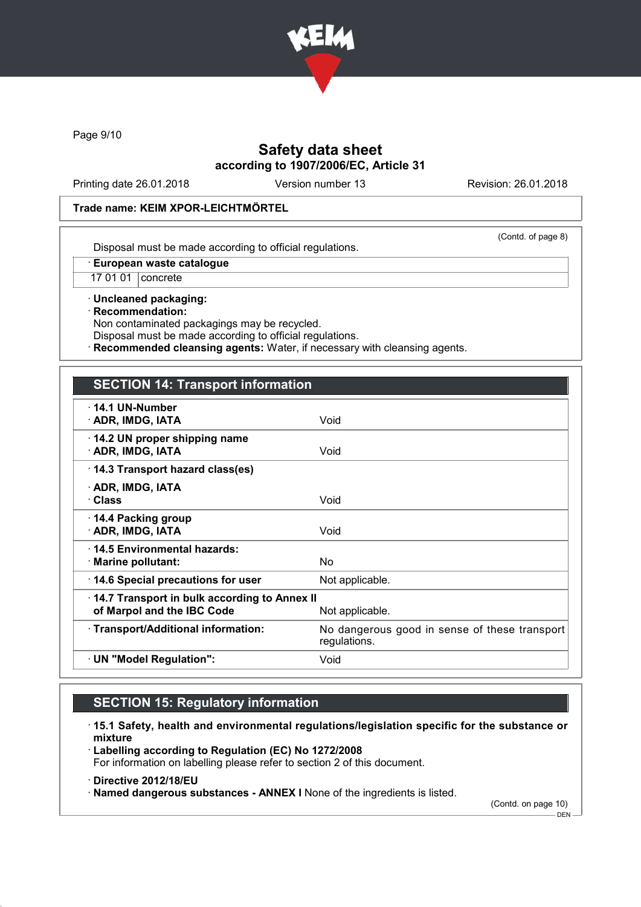

Page 9/10

### Safety data sheet according to 1907/2006/EC, Article 31

Printing date 26.01.2018 Version number 13 Revision: 26.01.2018

#### Trade name: KEIM XPOR-LEICHTMÖRTEL

(Contd. of page 8)

Disposal must be made according to official regulations.

· European waste catalogue

17 01 01 concrete

· Uncleaned packaging: · Recommendation: Non contaminated packagings may be recycled.

Disposal must be made according to official regulations.

Recommended cleansing agents: Water, if necessary with cleansing agents.

### SECTION 14: Transport information

| $\cdot$ 14.1 UN-Number<br>· ADR, IMDG, IATA                                | Void                                                          |
|----------------------------------------------------------------------------|---------------------------------------------------------------|
| $\cdot$ 14.2 UN proper shipping name<br>· ADR, IMDG, IATA                  | Void                                                          |
| 14.3 Transport hazard class(es)                                            |                                                               |
| · ADR, IMDG, IATA<br>∙ Class                                               | Void                                                          |
| $\cdot$ 14.4 Packing group<br>· ADR, IMDG, IATA                            | Void                                                          |
| ⋅14.5 Environmental hazards:<br>· Marine pollutant:                        | N <sub>o</sub>                                                |
| 14.6 Special precautions for user                                          | Not applicable.                                               |
| 14.7 Transport in bulk according to Annex II<br>of Marpol and the IBC Code | Not applicable.                                               |
| · Transport/Additional information:                                        | No dangerous good in sense of these transport<br>regulations. |
| · UN "Model Regulation":                                                   | Void                                                          |
|                                                                            |                                                               |

## SECTION 15: Regulatory information

· 15.1 Safety, health and environmental regulations/legislation specific for the substance or mixture

· Labelling according to Regulation (EC) No 1272/2008 For information on labelling please refer to section 2 of this document.

· Directive 2012/18/EU

· Named dangerous substances - ANNEX I None of the ingredients is listed.

(Contd. on page 10)

 $-$  DEN